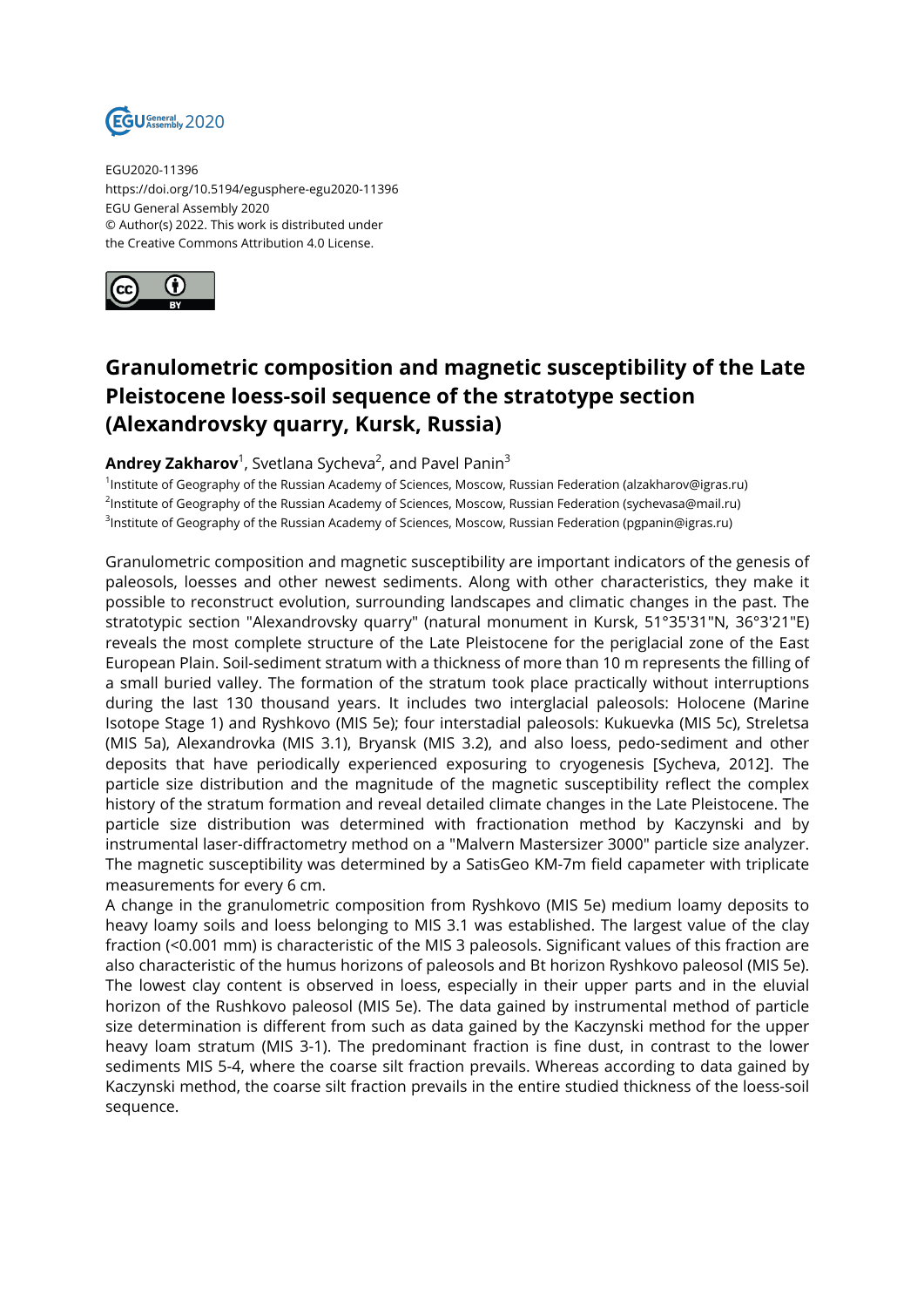

EGU2020-11396 https://doi.org/10.5194/egusphere-egu2020-11396 EGU General Assembly 2020 © Author(s) 2022. This work is distributed under the Creative Commons Attribution 4.0 License.



## **Granulometric composition and magnetic susceptibility of the Late Pleistocene loess-soil sequence of the stratotype section (Alexandrovsky quarry, Kursk, Russia)**

## **Andrey Zakharov**<sup>1</sup>, Svetlana Sycheva<sup>2</sup>, and Pavel Panin<sup>3</sup>

1 Institute of Geography of the Russian Academy of Sciences, Moscow, Russian Federation (alzakharov@igras.ru) <sup>2</sup>lnstitute of Geography of the Russian Academy of Sciences, Moscow, Russian Federation (sychevasa@mail.ru) <sup>3</sup>Institute of Geography of the Russian Academy of Sciences, Moscow, Russian Federation (pgpanin@igras.ru)

Granulometric composition and magnetic susceptibility are important indicators of the genesis of paleosols, loesses and other newest sediments. Along with other characteristics, they make it possible to reconstruct evolution, surrounding landscapes and climatic changes in the past. The stratotypic section "Alexandrovsky quarry" (natural monument in Kursk, 51°35′31″N, 36°3′21″E) reveals the most complete structure of the Late Pleistocene for the periglacial zone of the East European Plain. Soil-sediment stratum with a thickness of more than 10 m represents the filling of a small buried valley. The formation of the stratum took place practically without interruptions during the last 130 thousand years. It includes two interglacial paleosols: Holocene (Marine Isotope Stage 1) and Ryshkovo (MIS 5е); four interstadial paleosols: Kukuevka (MIS 5с), Streletsa (MIS 5а), Alexandrovka (MIS 3.1), Bryansk (MIS 3.2), and also loess, pedo-sediment and other deposits that have periodically experienced exposuring to cryogenesis [Sycheva, 2012]. The particle size distribution and the magnitude of the magnetic susceptibility reflect the complex history of the stratum formation and reveal detailed climate changes in the Late Pleistocene. The particle size distribution was determined with fractionation method by Kaczynski and by instrumental laser-diffractometry method on a "Malvern Mastersizer 3000" particle size analyzer. The magnetic susceptibility was determined by a SatisGeo KM-7m field capameter with triplicate measurements for every 6 cm.

A change in the granulometric composition from Ryshkovo (MIS 5e) medium loamy deposits to heavy loamy soils and loess belonging to MIS 3.1 was established. The largest value of the clay fraction (<0.001 mm) is characteristic of the MIS 3 paleosols. Significant values of this fraction are also characteristic of the humus horizons of paleosols and Bt horizon Ryshkovo paleosol (MIS 5e). The lowest clay content is observed in loess, especially in their upper parts and in the eluvial horizon of the Rushkovo paleosol (MIS 5е). The data gained by instrumental method of particle size determination is different from such as data gained by the Kaczynski method for the upper heavy loam stratum (MIS 3-1). The predominant fraction is fine dust, in contrast to the lower sediments MIS 5-4, where the coarse silt fraction prevails. Whereas according to data gained by Kaczynski method, the coarse silt fraction prevails in the entire studied thickness of the loess-soil sequence.